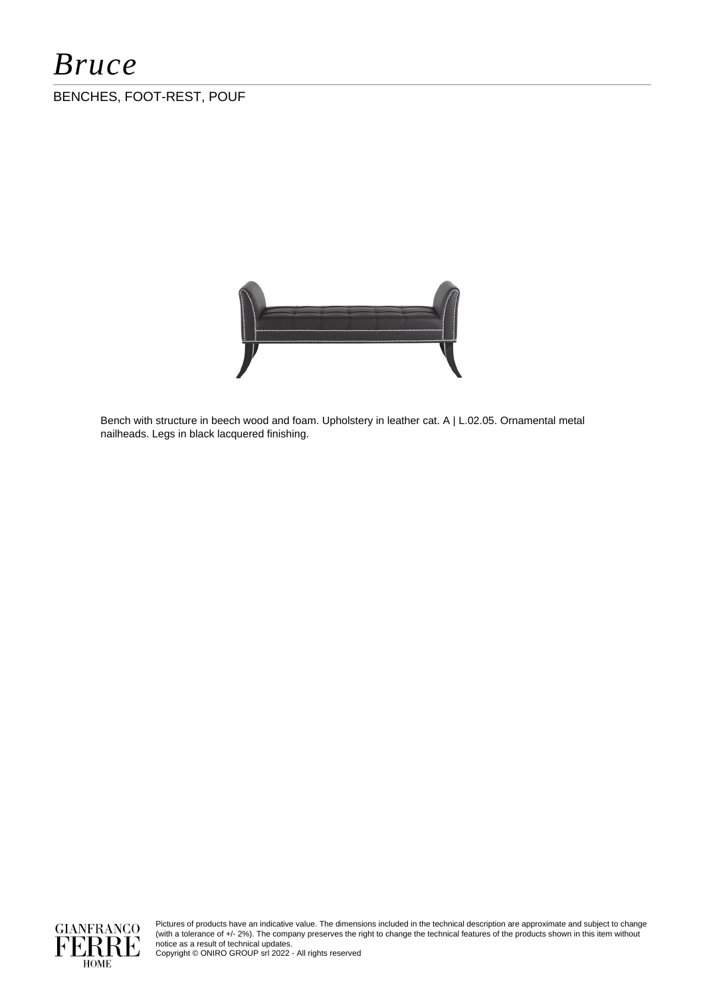# *Bruce*

### BENCHES, FOOT-REST, POUF



Bench with structure in beech wood and foam. Upholstery in leather cat. A | L.02.05. Ornamental metal nailheads. Legs in black lacquered finishing.



Pictures of products have an indicative value. The dimensions included in the technical description are approximate and subject to change (with a tolerance of +/- 2%). The company preserves the right to change the technical features of the products shown in this item without notice as a result of technical updates.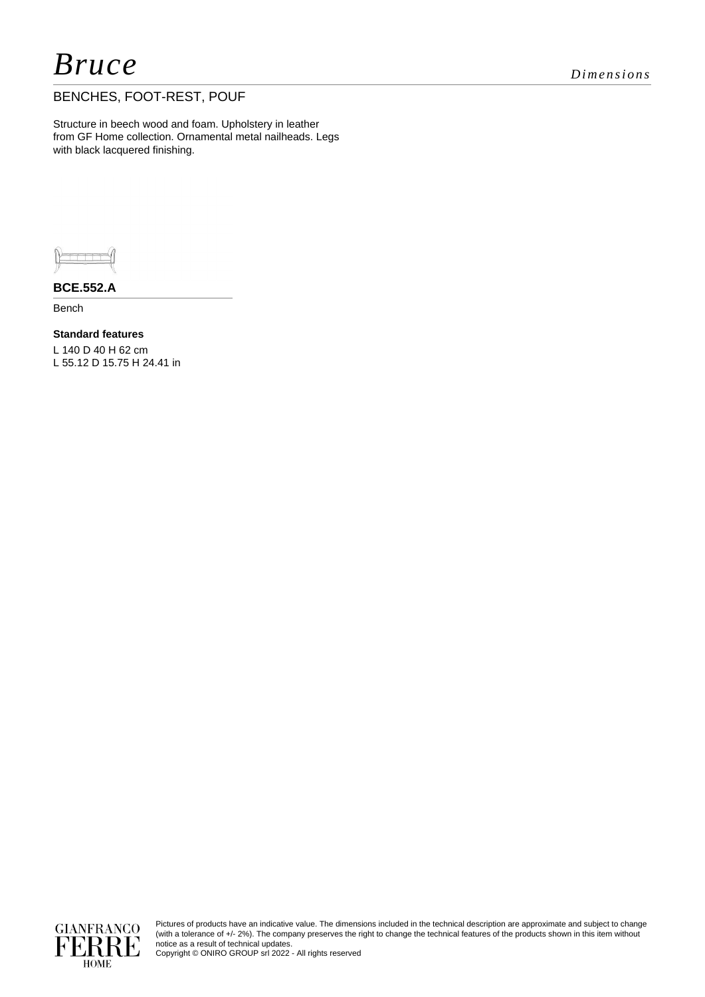## *Bruce Dimensions*

### BENCHES, FOOT-REST, POUF

Structure in beech wood and foam. Upholstery in leather from GF Home collection. Ornamental metal nailheads. Legs with black lacquered finishing.



**BCE.552.A**

Bench

**Standard features** L 140 D 40 H 62 cm L 55.12 D 15.75 H 24.41 in



Pictures of products have an indicative value. The dimensions included in the technical description are approximate and subject to change (with a tolerance of +/- 2%). The company preserves the right to change the technical features of the products shown in this item without notice as a result of technical updates.